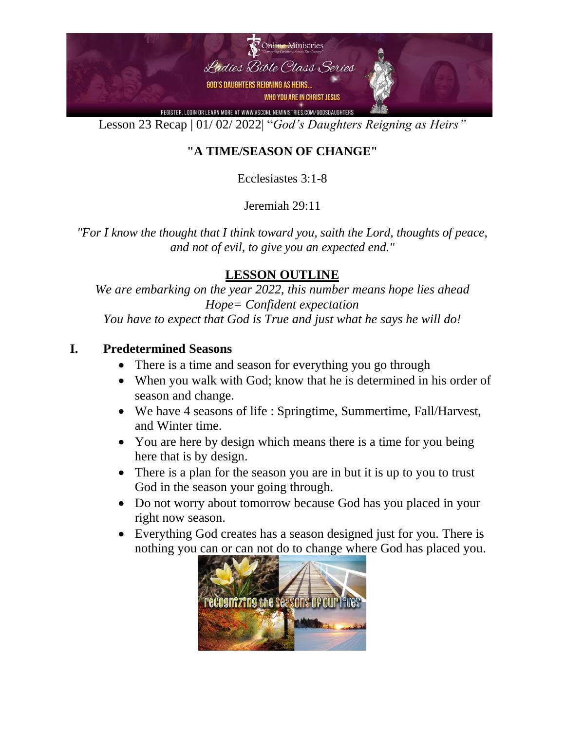

Lesson 23 Recap | 01/ 02/ 2022| "*God's Daughters Reigning as Heirs"*

## **"A TIME/SEASON OF CHANGE"**

Ecclesiastes 3:1-8

Jeremiah 29:11

*"For I know the thought that I think toward you, saith the Lord, thoughts of peace, and not of evil, to give you an expected end."*

### **LESSON OUTLINE**

*We are embarking on the year 2022, this number means hope lies ahead Hope= Confident expectation You have to expect that God is True and just what he says he will do!*

#### **I. Predetermined Seasons**

- There is a time and season for everything you go through
- When you walk with God; know that he is determined in his order of season and change.
- We have 4 seasons of life : Springtime, Summertime, Fall/Harvest, and Winter time.
- You are here by design which means there is a time for you being here that is by design.
- There is a plan for the season you are in but it is up to you to trust God in the season your going through.
- Do not worry about tomorrow because God has you placed in your right now season.
- Everything God creates has a season designed just for you. There is nothing you can or can not do to change where God has placed you.

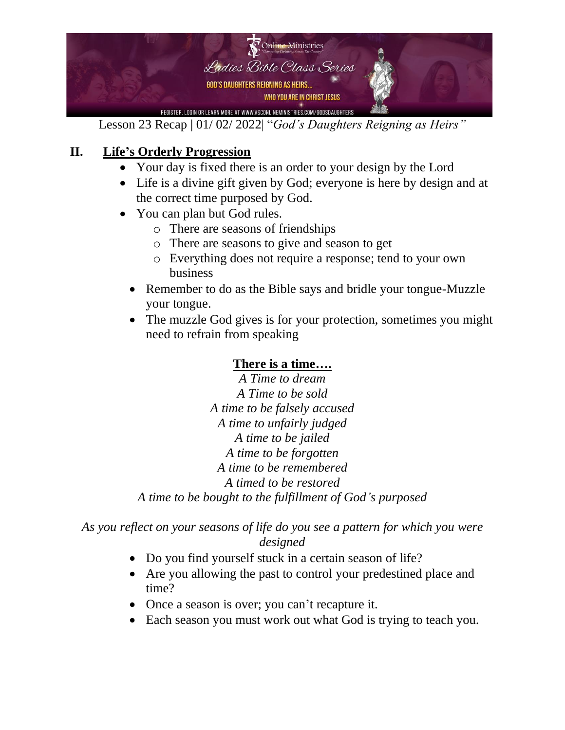

Lesson 23 Recap | 01/ 02/ 2022| "*God's Daughters Reigning as Heirs"*

# **II. Life's Orderly Progression**

- Your day is fixed there is an order to your design by the Lord
- Life is a divine gift given by God; everyone is here by design and at the correct time purposed by God.
- You can plan but God rules.
	- o There are seasons of friendships
	- o There are seasons to give and season to get
	- o Everything does not require a response; tend to your own business
	- Remember to do as the Bible says and bridle your tongue-Muzzle your tongue.
	- The muzzle God gives is for your protection, sometimes you might need to refrain from speaking

#### **There is a time….**

*A Time to dream A Time to be sold A time to be falsely accused A time to unfairly judged A time to be jailed A time to be forgotten A time to be remembered A timed to be restored A time to be bought to the fulfillment of God's purposed*

*As you reflect on your seasons of life do you see a pattern for which you were designed*

- Do you find yourself stuck in a certain season of life?
- Are you allowing the past to control your predestined place and time?
- Once a season is over; you can't recapture it.
- Each season you must work out what God is trying to teach you.